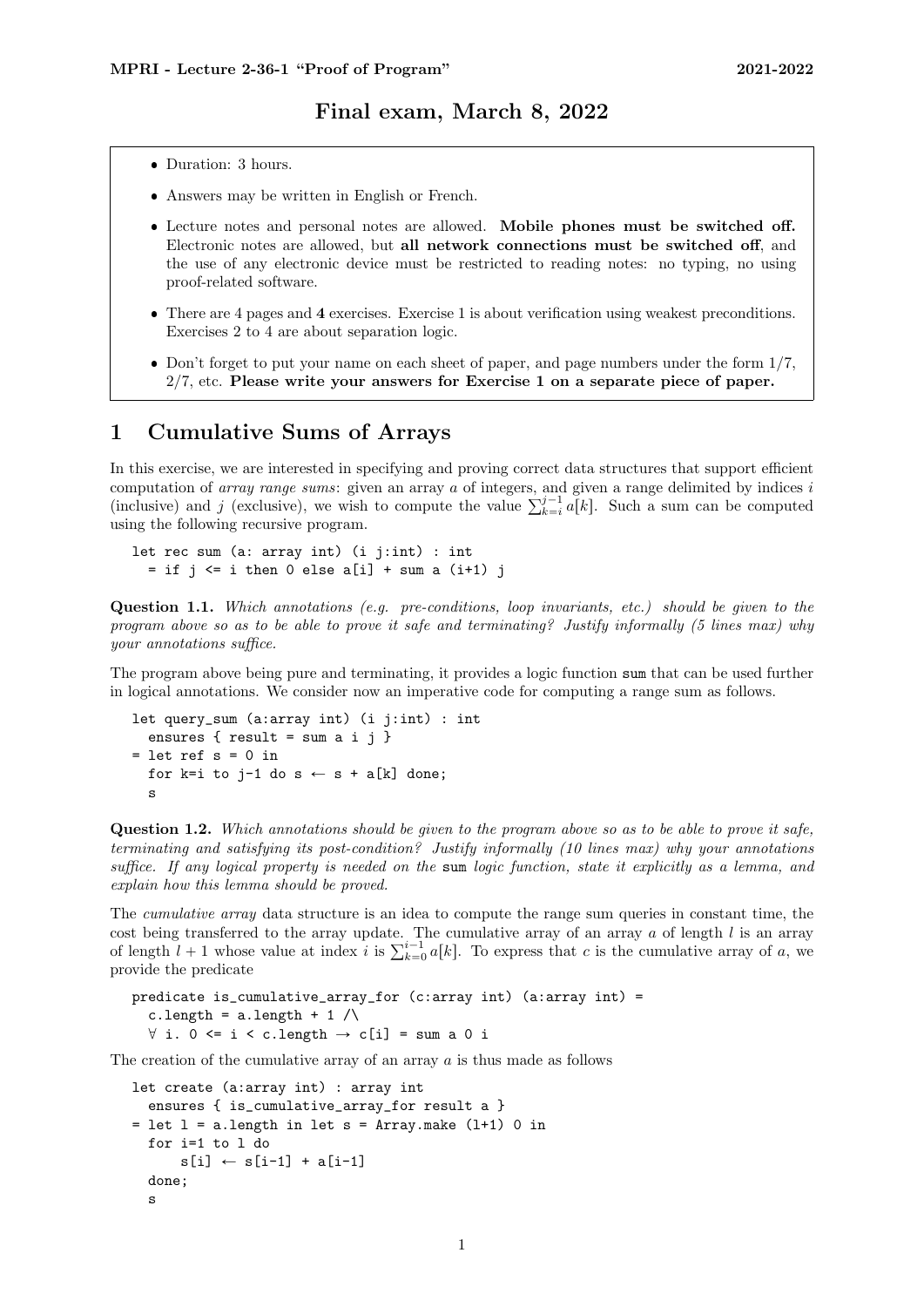#### Final exam, March 8, 2022

- Duration: 3 hours.
- Answers may be written in English or French.
- Lecture notes and personal notes are allowed. Mobile phones must be switched off. Electronic notes are allowed, but all network connections must be switched off, and the use of any electronic device must be restricted to reading notes: no typing, no using proof-related software.
- There are [4](#page-3-0) pages and 4 exercises. Exercise 1 is about verification using weakest preconditions. Exercises 2 to 4 are about separation logic.
- Don't forget to put your name on each sheet of paper, and page numbers under the form  $1/7$ ,  $2/7$ , etc. Please write your answers for Exercise 1 on a separate piece of paper.

# 1 Cumulative Sums of Arrays

In this exercise, we are interested in specifying and proving correct data structures that support efficient computation of *array range sums*: given an array  $a$  of integers, and given a range delimited by indices  $i$ computation of *array range sums*: given an array *a* of integers, and given a range delimited by indices *i* (inclusive) and *j* (exclusive), we wish to compute the value  $\sum_{k=i}^{j-1} a[k]$ . Such a sum can be computed using the following recursive program.

```
let rec sum (a: array int) (i j:int) : int
  = if j \leq i then 0 else a[i] + sum a (i+1) j
```
Question 1.1. Which annotations (e.g. pre-conditions, loop invariants, etc.) should be given to the program above so as to be able to prove it safe and terminating? Justify informally (5 lines max) why your annotations suffice.

The program above being pure and terminating, it provides a logic function sum that can be used further in logical annotations. We consider now an imperative code for computing a range sum as follows.

```
let query_sum (a:array int) (i j:int) : int
  ensures { result = sum a i j }
= let ref s = 0 in
  for k=i to j-1 do s \leftarrow s + a[k] done;
  s
```
Question 1.2. Which annotations should be given to the program above so as to be able to prove it safe, terminating and satisfying its post-condition? Justify informally (10 lines max) why your annotations suffice. If any logical property is needed on the sum logic function, state it explicitly as a lemma, and explain how this lemma should be proved.

The *cumulative array* data structure is an idea to compute the range sum queries in constant time, the cost being transferred to the array update. The cumulative array of an array a of length  $l$  is an array of length  $l + 1$  whose value at index  $i$  is  $\sum_{k=0}^{i-1} a[k]$ . To express that  $c$  is the cumulative array of  $a$ , provide the predicate

```
predicate is_cumulative_array_for (c:array int) (a:array int) =
  c.length = a.length + 1 \land\forall i. 0 <= i < c.length \rightarrow c[i] = sum a 0 i
```
The creation of the cumulative array of an array  $\alpha$  is thus made as follows

```
let create (a:array int) : array int
  ensures { is_cumulative_array_for result a }
= let l = a. length in let s = Array. make (l+1) 0 in
  for i=1 to l do
      s[i] \leftarrow s[i-1] + a[i-1]done;
  s
```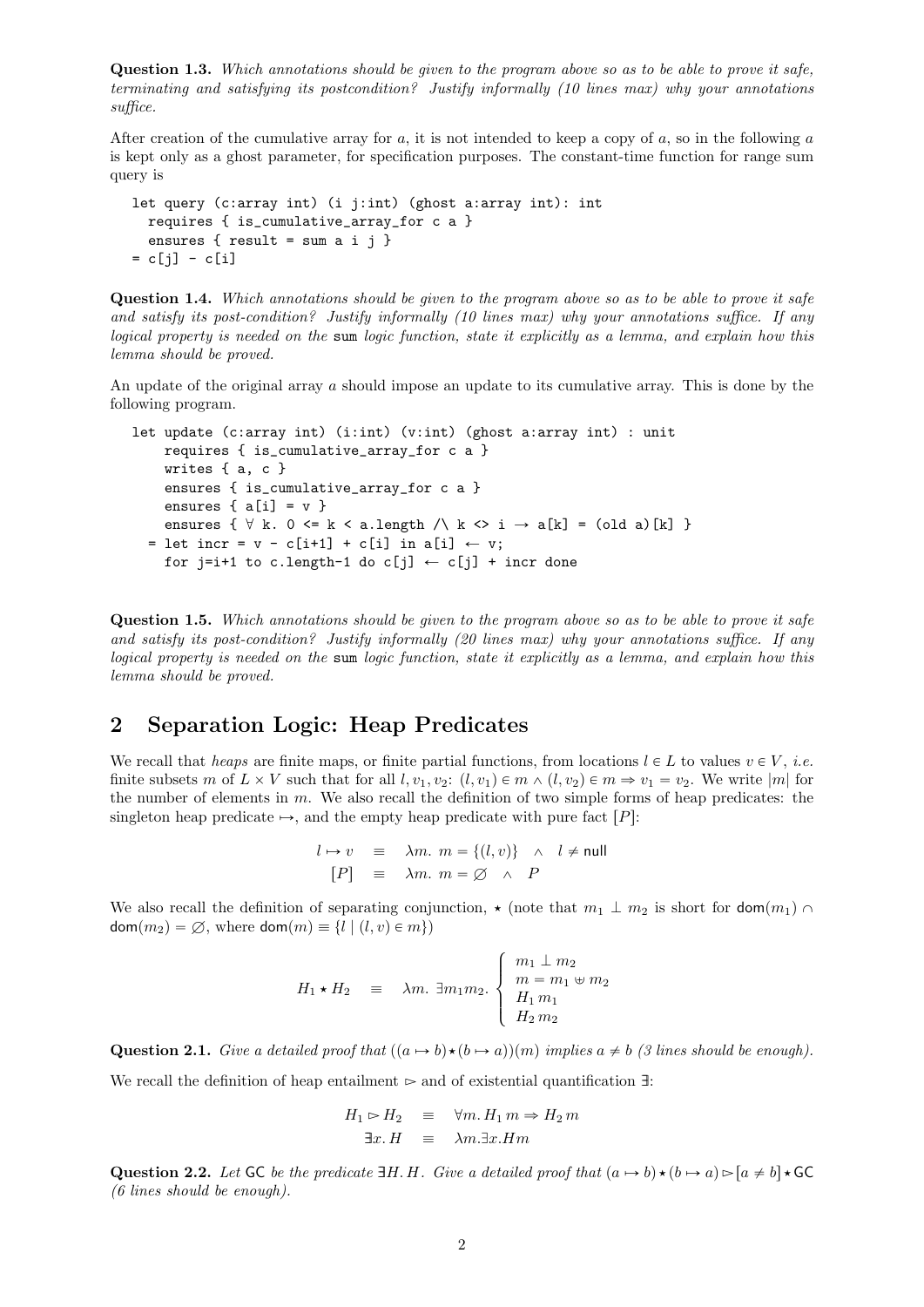Question 1.3. Which annotations should be given to the program above so as to be able to prove it safe. terminating and satisfying its postcondition? Justify informally (10 lines max) why your annotations suffice.

After creation of the cumulative array for  $a$ , it is not intended to keep a copy of  $a$ , so in the following  $a$ is kept only as a ghost parameter, for specification purposes. The constant-time function for range sum query is

```
let query (c:array int) (i j:int) (ghost a:array int): int
  requires { is_cumulative_array_for c a }
  ensures { result = sum a i j }
= c[j] - c[i]
```
Question 1.4. Which annotations should be given to the program above so as to be able to prove it safe and satisfy its post-condition? Justify informally (10 lines max) why your annotations suffice. If any logical property is needed on the sum logic function, state it explicitly as a lemma, and explain how this lemma should be proved.

An update of the original array a should impose an update to its cumulative array. This is done by the following program.

```
let update (c:array int) (i:int) (v:int) (ghost a:array int) : unit
    requires { is_cumulative_array_for c a }
    writes { a, c }
    ensures { is_cumulative_array_for c a }
    ensures \{ a[i] = v \}ensures { \forall k. 0 <= k < a.length \land k <> i \rightarrow a[k] = (old a)[k] }
  = let incr = v - c[i+1] + c[i] in a[i] \leftarrow v;
    for j=i+1 to c.length-1 do c[j] \leftarrow c[j] + incr done
```
Question 1.5. Which annotations should be given to the program above so as to be able to prove it safe and satisfy its post-condition? Justify informally (20 lines max) why your annotations suffice. If any logical property is needed on the sum logic function, state it explicitly as a lemma, and explain how this lemma should be proved.

# 2 Separation Logic: Heap Predicates

We recall that heaps are finite maps, or finite partial functions, from locations  $l \in L$  to values  $v \in V$ , *i.e.* finite subsets m of  $L \times V$  such that for all  $l, v_1, v_2$ :  $(l, v_1) \in m \wedge (l, v_2) \in m \Rightarrow v_1 = v_2$ . We write  $|m|$  for the number of elements in  $m$ . We also recall the definition of two simple forms of heap predicates: the singleton heap predicate  $\mapsto$ , and the empty heap predicate with pure fact  $[P]$ :

$$
l \mapsto v \equiv \lambda m. \ m = \{(l, v)\} \ \land \ l \neq \text{null}
$$

$$
[P] \equiv \lambda m. \ m = \varnothing \ \land \ P
$$

We also recall the definition of separating conjunction,  $\star$  (note that  $m_1 \perp m_2$  is short for  $\mathsf{dom}(m_1) \cap$  $dom(m_2) = \emptyset$ , where  $dom(m) \equiv \{l \mid (l, v) \in m\}$ 

**\$100 million** 

$$
H_1 \star H_2 = \lambda m. \ \exists m_1 m_2. \begin{cases} m_1 \perp m_2 \\ m = m_1 \oplus m_2 \\ H_1 m_1 \\ H_2 m_2 \end{cases}
$$

Question 2.1. Give a detailed proof that  $((a \rightarrow b) \star (b \rightarrow a))(m)$  implies  $a \neq b$  (3 lines should be enough).

We recall the definition of heap entailment  $\triangleright$  and of existential quantification  $\exists$ :

$$
H_1 \rhd H_2 \equiv \forall m. H_1 m \Rightarrow H_2 m
$$
  

$$
\exists x. H \equiv \lambda m. \exists x. Hm
$$

Question 2.2. Let GC be the predicate  $\exists H. H.$  Give a detailed proof that  $(a \rightarrow b) \star (b \rightarrow a) \rhd [a \neq b] \star \mathsf{GC}$ (6 lines should be enough).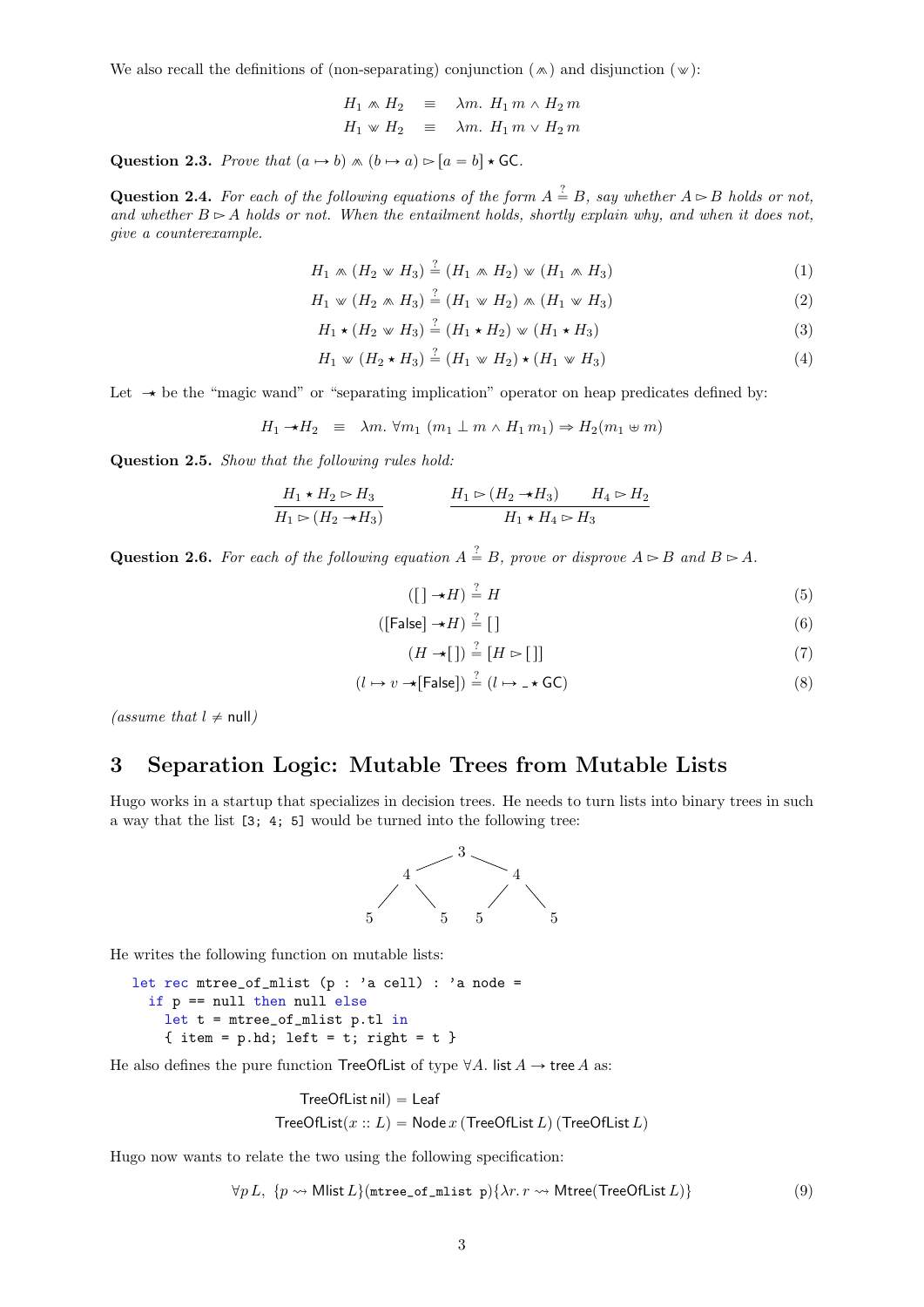We also recall the definitions of (non-separating) conjunction ( $\infty$ ) and disjunction ( $\infty$ ):

$$
H_1 \text{ A } H_2 \equiv \text{ A}m. H_1 m \wedge H_2 m
$$
  

$$
H_1 \text{ W } H_2 \equiv \text{ A}m. H_1 m \vee H_2 m
$$

Question 2.3. Prove that  $(a \mapsto b) \wedge (b \mapsto a) \triangleright [a = b] \star \mathsf{GC}.$ 

**Question 2.4.** For each of the following equations of the form  $A \stackrel{?}{=} B$ , say whether  $A \rhd B$  holds or not, and whether  $B \triangleright A$  holds or not. When the entailment holds, shortly explain why, and when it does not, give a counterexample.

$$
H_1 \wedge (H_2 \otimes H_3) \stackrel{?}{=} (H_1 \wedge H_2) \otimes (H_1 \wedge H_3) \tag{1}
$$

$$
H_1 \le (H_2 \wedge H_3) \stackrel{?}{=} (H_1 \otimes H_2) \wedge (H_1 \otimes H_3) \tag{2}
$$

$$
H_1 \star (H_2 \otimes H_3) \stackrel{?}{=} (H_1 \star H_2) \otimes (H_1 \star H_3) \tag{3}
$$

$$
H_1 \le (H_2 \star H_3) \stackrel{?}{=} (H_1 \otimes H_2) \star (H_1 \otimes H_3) \tag{4}
$$

Let  $\rightarrow$  be the "magic wand" or "separating implication" operator on heap predicates defined by:

$$
H_1 \to H_2 \equiv \lambda m. \ \forall m_1 \ (m_1 \perp m \wedge H_1 m_1) \Rightarrow H_2(m_1 \uplus m)
$$

Question 2.5. Show that the following rules hold:

$$
\frac{H_1 \star H_2 \rhd H_3}{H_1 \rhd (H_2 \to H_3)} \qquad \qquad \frac{H_1 \rhd (H_2 \to H_3) \qquad H_4 \rhd H_2}{H_1 \star H_4 \rhd H_3}
$$

**Question 2.6.** For each of the following equation  $A \stackrel{?}{=} B$ , prove or disprove  $A \rhd B$  and  $B \rhd A$ .

$$
([ \ ] \rightarrow H) \stackrel{?}{=} H \tag{5}
$$

$$
(\text{[False]} \to H) \stackrel{?}{=} [] \tag{6}
$$

$$
(H \to []) \stackrel{?}{=} [H \rhd []] \tag{7}
$$

$$
(l \mapsto v \star [\mathsf{False}]) \stackrel{?}{=} (l \mapsto \_ \star \mathsf{GC}) \tag{8}
$$

(assume that  $l \neq \text{null}$ )

# 3 Separation Logic: Mutable Trees from Mutable Lists

Hugo works in a startup that specializes in decision trees. He needs to turn lists into binary trees in such a way that the list [3; 4; 5] would be turned into the following tree:



He writes the following function on mutable lists:

```
let rec mtree_of_mlist (p : 'a cell) : 'a node =
  if p == null then null else
    let t = mtree_of_mlist p.tl in
    { item = p.hd; left = t; right = t }
```
He also defines the pure function TreeOfList of type  $\forall A$ . list  $A \rightarrow$  tree  $A$  as:

<span id="page-2-0"></span>TreeOfList nil) = Leaf  
TreeOfList
$$
(x :: L)
$$
 = Node  $x$  (TreeOfList  $L$ ) (TreeOfList  $L$ )

Hugo now wants to relate the two using the following specification:

$$
\forall p \, L, \, \{p \leadsto \text{Mlist } L\} (\text{ntree\_of\_mlist } p) \{\lambda r. \, r \leadsto \text{Mtree}(\text{TreeOfList } L) \} \tag{9}
$$